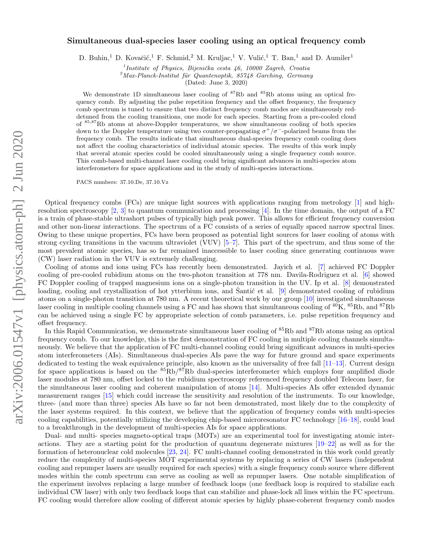# arXiv:2006.01547v1 [physics.atom-ph] 2 Jun 2020 arXiv:2006.01547v1 [physics.atom-ph] 2 Jun 2020

# Simultaneous dual-species laser cooling using an optical frequency comb

D. Buhin,<sup>1</sup> D. Kovačić,<sup>1</sup> F. Schmid,<sup>2</sup> M. Kruljac,<sup>1</sup> V. Vulić,<sup>1</sup> T. Ban,<sup>1</sup> and D. Aumiler<sup>1</sup>

<sup>1</sup> Institute of Physics, Bijenička cesta 46, 10000 Zagreb, Croatia

 $^{2}$ Max-Planck-Institut für Quantenoptik, 85748 Garching, Germany

(Dated: June 3, 2020)

We demonstrate 1D simultaneous laser cooling of  ${}^{87}Rb$  and  ${}^{85}Rb$  atoms using an optical frequency comb. By adjusting the pulse repetition frequency and the offset frequency, the frequency comb spectrum is tuned to ensure that two distinct frequency comb modes are simultaneously reddetuned from the cooling transitions, one mode for each species. Starting from a pre-cooled cloud of <sup>85</sup>,<sup>87</sup>Rb atoms at above-Doppler temperatures, we show simultaneous cooling of both species down to the Doppler temperature using two counter-propagating  $\sigma^+/\sigma^-$ -polarized beams from the frequency comb. The results indicate that simultaneous dual-species frequency comb cooling does not affect the cooling characteristics of individual atomic species. The results of this work imply that several atomic species could be cooled simultaneously using a single frequency comb source. This comb-based multi-channel laser cooling could bring significant advances in multi-species atom interferometers for space applications and in the study of multi-species interactions.

PACS numbers: 37.10.De, 37.10.Vz

Optical frequency combs (FCs) are unique light sources with applications ranging from metrology [\[1\]](#page-9-0) and highresolution spectroscopy  $[2, 3]$  $[2, 3]$  to quantum communication and processing  $[4]$ . In the time domain, the output of a FC is a train of phase-stable ultrashort pulses of typically high peak power. This allows for efficient frequency conversion and other non-linear interactions. The spectrum of a FC consists of a series of equally spaced narrow spectral lines. Owing to these unique properties, FCs have been proposed as potential light sources for laser cooling of atoms with strong cycling transitions in the vacuum ultraviolet (VUV) [\[5–](#page-9-4)[7\]](#page-9-5). This part of the spectrum, and thus some of the most prevalent atomic species, has so far remained inaccessible to laser cooling since generating continuous wave (CW) laser radiation in the VUV is extremely challenging.

Cooling of atoms and ions using FCs has recently been demonstrated. Jayich et al. [\[7\]](#page-9-5) achieved FC Doppler cooling of pre-cooled rubidium atoms on the two-photon transition at 778 nm. Davila-Rodriguez et al. [\[6\]](#page-9-6) showed FC Doppler cooling of trapped magnesium ions on a single-photon transition in the UV. Ip et al. [\[8\]](#page-9-7) demonstrated loading, cooling and crystallization of hot ytterbium ions, and Santic et al.  $[9]$  $[9]$  demonstrated cooling of rubidium atoms on a single-photon transition at 780 nm. A recent theoretical work by our group [\[10\]](#page-9-9) investigated simultaneous laser cooling in multiple cooling channels using a FC and has shown that simultaneous cooling of <sup>40</sup>K, <sup>85</sup>Rb, and <sup>87</sup>Rb can be achieved using a single FC by appropriate selection of comb parameters, i.e. pulse repetition frequency and offset frequency.

In this Rapid Communication, we demonstrate simultaneous laser cooling of <sup>85</sup>Rb and <sup>87</sup>Rb atoms using an optical frequency comb. To our knowledge, this is the first demonstration of FC cooling in multiple cooling channels simultaneously. We believe that the application of FC multi-channel cooling could bring significant advances in multi-species atom interferometers (AIs). Simultaneous dual-species AIs pave the way for future ground and space experiments dedicated to testing the weak equivalence principle, also known as the universality of free fall  $[11-13]$  $[11-13]$ . Current design for space applications is based on the  ${}^{85}Rb/{}^{87}Rb$  dual-species interferometer which employs four amplified diode laser modules at 780 nm, offset locked to the rubidium spectroscopy referenced frequency doubled Telecom laser, for the simultaneous laser cooling and coherent manipulation of atoms [\[14\]](#page-9-12). Multi-species AIs offer extended dynamic measurement ranges [\[15\]](#page-9-13) which could increase the sensitivity and resolution of the instruments. To our knowledge, three- (and more than three) species AIs have so far not been demonstrated, most likely due to the complexity of the laser systems required. In this context, we believe that the application of frequency combs with multi-species cooling capabilities, potentially utilizing the developing chip-based microresonator FC technology [\[16–](#page-9-14)[18\]](#page-9-15), could lead to a breakthrough in the development of multi-species AIs for space applications.

Dual- and multi- species magneto-optical traps (MOTs) are an experimental tool for investigating atomic interactions. They are a starting point for the production of quantum degenerate mixtures [\[19–](#page-9-16)[22\]](#page-9-17) as well as for the formation of heteronuclear cold molecules [\[23,](#page-9-18) [24\]](#page-9-19). FC multi-channel cooling demonstrated in this work could greatly reduce the complexity of multi-species MOT experimental systems by replacing a series of CW lasers (independent cooling and repumper lasers are usually required for each species) with a single frequency comb source where different modes within the comb spectrum can serve as cooling as well as repumper lasers. One notable simplification of the experiment involves replacing a large number of feedback loops (one feedback loop is required to stabilize each individual CW laser) with only two feedback loops that can stabilize and phase-lock all lines within the FC spectrum. FC cooling would therefore allow cooling of different atomic species by highly phase-coherent frequency comb modes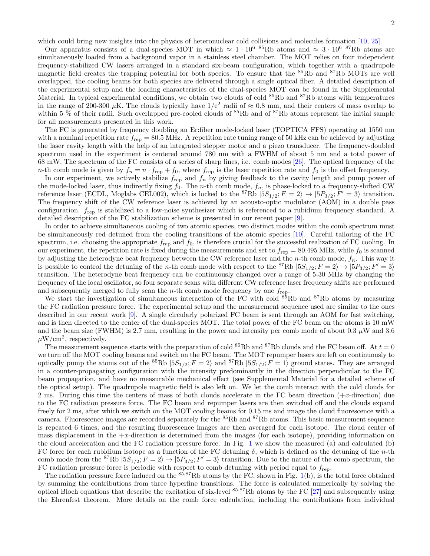Our apparatus consists of a dual-species MOT in which  $\approx 1 \cdot 10^6$  <sup>85</sup>Rb atoms and  $\approx 3 \cdot 10^6$  <sup>87</sup>Rb atoms are simultaneously loaded from a background vapor in a stainless steel chamber. The MOT relies on four independent frequency-stabilized CW lasers arranged in a standard six-beam configuration, which together with a quadrupole magnetic field creates the trapping potential for both species. To ensure that the <sup>85</sup>Rb and <sup>87</sup>Rb MOTs are well overlapped, the cooling beams for both species are delivered through a single optical fiber. A detailed description of the experimental setup and the loading characteristics of the dual-species MOT can be found in the Supplemental Material. In typical experimental conditions, we obtain two clouds of cold  ${}^{85}Rb$  and  ${}^{87}Rb$  atoms with temperatures in the range of 200-300  $\mu$ K. The clouds typically have  $1/e^2$  radii of  $\approx 0.8$  mm, and their centers of mass overlap to within 5 % of their radii. Such overlapped pre-cooled clouds of <sup>85</sup>Rb and of <sup>87</sup>Rb atoms represent the initial sample for all measurements presented in this work.

The FC is generated by frequency doubling an Er:fiber mode-locked laser (TOPTICA FFS) operating at 1550 nm with a nominal repetition rate  $f_{\text{rep}} = 80.5 \text{ MHz}$ . A repetition rate tuning range of 50 kHz can be achieved by adjusting the laser cavity length with the help of an integrated stepper motor and a piezo transducer. The frequency-doubled spectrum used in the experiment is centered around 780 nm with a FWHM of about 5 nm and a total power of 68 mW. The spectrum of the FC consists of a series of sharp lines, i.e. comb modes [\[26\]](#page-9-21). The optical frequency of the n-th comb mode is given by  $f_n = n \cdot f_{\text{rep}} + f_0$ , where  $f_{\text{rep}}$  is the laser repetition rate and  $f_0$  is the offset frequency.

In our experiment, we actively stabilize  $f_{\text{rep}}$  and  $f_n$  by giving feedback to the cavity length and pump power of the mode-locked laser, thus indirectly fixing  $f_0$ . The n-th comb mode,  $f_n$ , is phase-locked to a frequency-shifted CW reference laser (ECDL, Moglabs CEL002), which is locked to the <sup>87</sup>Rb  $|5S_{1/2}$ ;  $F = 2\rangle \rightarrow |5P_{3/2}$ ;  $F' = 3\rangle$  transition. The frequency shift of the CW reference laser is achieved by an acousto-optic modulator (AOM) in a double pass configuration. frep is stabilized to a low-noise synthesizer which is referenced to a rubidium frequency standard. A detailed description of the FC stabilization scheme is presented in our recent paper [\[9\]](#page-9-8).

In order to achieve simultaneous cooling of two atomic species, two distinct modes within the comb spectrum must be simultaneously red detuned from the cooling transitions of the atomic species [\[10\]](#page-9-9). Careful tailoring of the FC spectrum, i.e. choosing the appropriate  $f_{\text{rep}}$  and  $f_0$ , is therefore crucial for the successful realization of FC cooling. In our experiment, the repetition rate is fixed during the measurements and set to  $f_{\text{rep}} = 80.495 \text{ MHz}$ , while  $f_0$  is scanned by adjusting the heterodyne beat frequency between the CW reference laser and the n-th comb mode,  $f_n$ . This way it is possible to control the detuning of the *n*-th comb mode with respect to the <sup>87</sup>Rb  $|5S_{1/2}$ ;  $F = 2\rangle \rightarrow |5P_{3/2}$ ;  $F' = 3\rangle$ transition. The heterodyne beat frequency can be continuously changed over a range of 5-30 MHz by changing the frequency of the local oscillator, so four separate scans with different CW reference laser frequency shifts are performed and subsequently merged to fully scan the *n*-th comb mode frequency by one  $f_{\text{rep}}$ .

We start the investigation of simultaneous interaction of the FC with cold  ${}^{85}Rb$  and  ${}^{87}Rb$  atoms by measuring the FC radiation pressure force. The experimental setup and the measurement sequence used are similar to the ones described in our recent work [\[9\]](#page-9-8). A single circularly polarized FC beam is sent through an AOM for fast switching, and is then directed to the center of the dual-species MOT. The total power of the FC beam on the atoms is 10 mW and the beam size (FWHM) is 2.7 mm, resulting in the power and intensity per comb mode of about 0.3  $\mu$ W and 3.6  $\mu$ W/cm<sup>2</sup>, respectively.

The measurement sequence starts with the preparation of cold  ${}^{85}Rb$  and  ${}^{87}Rb$  clouds and the FC beam off. At  $t = 0$ we turn off the MOT cooling beams and switch on the FC beam. The MOT repumper lasers are left on continuously to optically pump the atoms out of the <sup>85</sup>Rb  $|5S_{1/2}$ ;  $F = 2\rangle$  and <sup>87</sup>Rb  $|5S_{1/2}$ ;  $F = 1\rangle$  ground states. They are arranged in a counter-propagating configuration with the intensity predominantly in the direction perpendicular to the FC beam propagation, and have no measurable mechanical effect (see Supplemental Material for a detailed scheme of the optical setup). The quadrupole magnetic field is also left on. We let the comb interact with the cold clouds for 2 ms. During this time the centers of mass of both clouds accelerate in the FC beam direction  $(+x$ -direction) due to the FC radiation pressure force. The FC beam and repumper lasers are then switched off and the clouds expand freely for 2 ms, after which we switch on the MOT cooling beams for 0.15 ms and image the cloud fluorescence with a camera. Fluorescence images are recorded separately for the <sup>85</sup>Rb and <sup>87</sup>Rb atoms. This basic measurement sequence is repeated 6 times, and the resulting fluorescence images are then averaged for each isotope. The cloud center of mass displacement in the  $+x$ -direction is determined from the images (for each isotope), providing information on the cloud acceleration and the FC radiation pressure force. In Fig. [1](#page-2-0) we show the measured (a) and calculated (b) FC force for each rubidium isotope as a function of the FC detuning  $\delta$ , which is defined as the detuning of the *n*-th comb mode from the <sup>87</sup>Rb  $|5S_{1/2}$ ;  $F = 2\rangle \rightarrow |5P_{3/2}$ ;  $F' = 3\rangle$  transition. Due to the nature of the comb spectrum, the FC radiation pressure force is periodic with respect to comb detuning with period equal to  $f_{\text{rep}}$ .

The radiation pressure force induced on the  $85,87Rb$  atoms by the FC, shown in Fig. [1\(](#page-2-0)b), is the total force obtained by summing the contributions from three hyperfine transitions. The force is calculated numerically by solving the optical Bloch equations that describe the excitation of six-level  $85,87Rb$  atoms by the FC [\[27\]](#page-9-22) and subsequently using the Ehrenfest theorem. More details on the comb force calculation, including the contributions from individual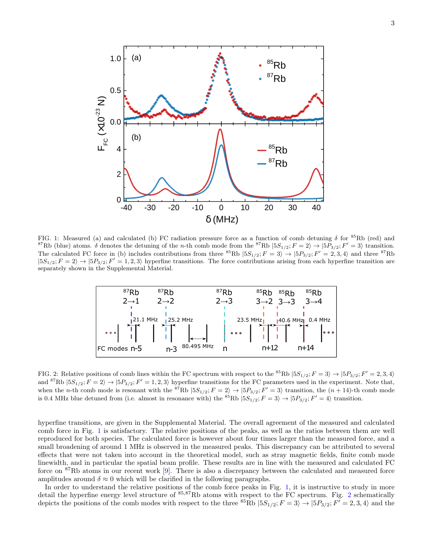

<span id="page-2-0"></span>FIG. 1: Measured (a) and calculated (b) FC radiation pressure force as a function of comb detuning  $\delta$  for  ${}^{85}Rb$  (red) and <sup>87</sup>Rb (blue) atoms.  $\delta$  denotes the detuning of the *n*-th comb mode from the <sup>87</sup>Rb  $|5S_{1/2}$ ;  $F = 2\rangle \rightarrow |5P_{3/2}$ ;  $F' = 3\rangle$  transition. The calculated FC force in (b) includes contributions from three <sup>85</sup>Rb  $|5S_{1/2}; F = 3\rangle \rightarrow |5P_{3/2}; F' = 2, 3, 4\rangle$  and three <sup>87</sup>Rb  $|5S_{1/2}; F = 2\rangle \rightarrow |5P_{3/2}; F' = 1, 2, 3\rangle$  hyperfine transitions. The force contributions arising from each hyperfine transition are separately shown in the Supplemental Material.



<span id="page-2-1"></span>FIG. 2: Relative positions of comb lines within the FC spectrum with respect to the <sup>85</sup>Rb  $|5S_{1/2}$ ;  $F = 3\rangle \rightarrow |5P_{3/2}$ ;  $F' = 2, 3, 4\rangle$ and <sup>87</sup>Rb  $|5S_{1/2}; F = 2\rangle \rightarrow |5P_{3/2}; F' = 1, 2, 3\rangle$  hyperfine transitions for the FC parameters used in the experiment. Note that, when the *n*-th comb mode is resonant with the <sup>87</sup>Rb  $|5S_{1/2}$ ;  $F = 2\rangle \rightarrow |5P_{3/2}$ ;  $F' = 3\rangle$  transition, the  $(n + 14)$ -th comb mode is 0.4 MHz blue detuned from (i.e. almost in resonance with) the <sup>85</sup>Rb  $|5S_{1/2}; F = 3\rangle \rightarrow |5P_{3/2}; F' = 4\rangle$  transition.

hyperfine transitions, are given in the Supplemental Material. The overall agreement of the measured and calculated comb force in Fig. [1](#page-2-0) is satisfactory. The relative positions of the peaks, as well as the ratios between them are well reproduced for both species. The calculated force is however about four times larger than the measured force, and a small broadening of around 1 MHz is observed in the measured peaks. This discrepancy can be attributed to several effects that were not taken into account in the theoretical model, such as stray magnetic fields, finite comb mode linewidth, and in particular the spatial beam profile. These results are in line with the measured and calculated FC force on  ${}^{87}$ Rb atoms in our recent work [\[9\]](#page-9-8). There is also a discrepancy between the calculated and measured force amplitudes around  $\delta \approx 0$  which will be clarified in the following paragraphs.

In order to understand the relative positions of the comb force peaks in Fig. [1,](#page-2-0) it is instructive to study in more detail the hyperfine energy level structure of  $85,87Rb$  atoms with respect to the FC spectrum. Fig. [2](#page-2-1) schematically depicts the positions of the comb modes with respect to the three  ${}^{85}Rb |5S_{1/2}$ ;  $F = 3\rangle \rightarrow |5P_{3/2}$ ;  $F' = 2, 3, 4\rangle$  and the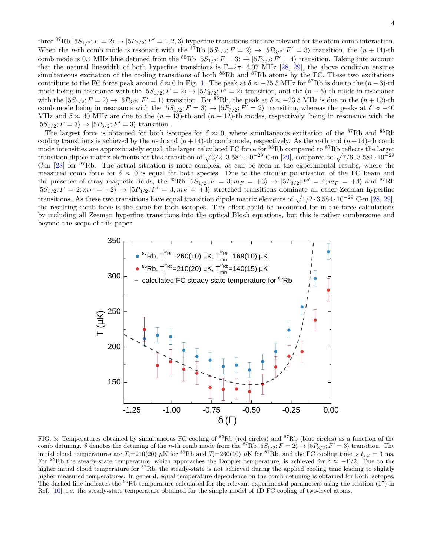three <sup>87</sup>Rb  $|5S_{1/2}$ ;  $F = 2$   $\rangle \rightarrow |5P_{3/2}$ ;  $F' = 1, 2, 3$  hyperfine transitions that are relevant for the atom-comb interaction. When the *n*-th comb mode is resonant with the <sup>87</sup>Rb  $|5S_{1/2}$ ;  $F = 2\rangle \rightarrow |5P_{3/2}$ ;  $F' = 3\rangle$  transition, the  $(n + 14)$ -th comb mode is 0.4 MHz blue detuned from the <sup>85</sup>Rb  $|5S_{1/2}$ ;  $F = 3\rangle \rightarrow |5P_{3/2}$ ;  $F' = 4\rangle$  transition. Taking into account that the natural linewidth of both hyperfine transitions is  $\Gamma = 2\pi \cdot 6.07$  MHz [\[28,](#page-9-23) [29\]](#page-9-24), the above condition ensures simultaneous excitation of the cooling transitions of both <sup>85</sup>Rb and <sup>87</sup>Rb atoms by the FC. These two excitations contribute to the FC force peak around  $\delta \approx 0$  in Fig. [1.](#page-2-0) The peak at  $\delta \approx -25.5$  MHz for <sup>87</sup>Rb is due to the  $(n-3)$ -rd mode being in resonance with the  $|5S_{1/2}$ ;  $F = 2\rangle \rightarrow |5P_{3/2}$ ;  $F' = 2\rangle$  transition, and the  $(n-5)$ -th mode in resonance with the  $|5S_{1/2}; F = 2\rangle \rightarrow |5P_{3/2}; F' = 1\rangle$  transition. For <sup>85</sup>Rb, the peak at  $\delta \approx -23.5$  MHz is due to the  $(n + 12)$ -th comb mode being in resonance with the  $|5S_{1/2}; F = 3\rangle \rightarrow |5P_{3/2}; F' = 2\rangle$  transition, whereas the peaks at  $\delta \approx -40$ MHz and  $\delta \approx 40$  MHz are due to the  $(n+13)$ -th and  $(n+12)$ -th modes, respectively, being in resonance with the  $|5S_{1/2}; F = 3\rangle \rightarrow |5P_{3/2}; F' = 3\rangle$  transition.

The largest force is obtained for both isotopes for  $\delta \approx 0$ , where simultaneous excitation of the <sup>87</sup>Rb and <sup>85</sup>Rb cooling transitions is achieved by the *n*-th and  $(n+14)$ -th comb mode, respectively. As the *n*-th and  $(n+14)$ -th comb mode intensities are approximately equal, the larger calculated FC force for <sup>85</sup>Rb compared to <sup>87</sup>Rb reflects the larger transition dipole matrix elements for this transition of  $\sqrt{3/2} \cdot 3.584 \cdot 10^{-29}$  C·m [\[29\]](#page-9-24), compared to  $\sqrt{7/6} \cdot 3.584 \cdot 10^{-29}$ C·m [\[28\]](#page-9-23) for <sup>87</sup>Rb. The actual situation is more complex, as can be seen in the experimental results, where the measured comb force for  $\delta \approx 0$  is equal for both species. Due to the circular polarization of the FC beam and the presence of stray magnetic fields, the <sup>85</sup>Rb  $|5S_{1/2}$ ;  $F = 3$ ;  $m_F = +3\rangle \rightarrow |5P_{3/2}$ ;  $F' = 4$ ;  $m_F = +4\rangle$  and <sup>87</sup>Rb  $|5S_{1/2}; F = 2; m_F = +2 \rangle \rightarrow |5P_{3/2}; F' = 3; m_F = +3 \rangle$  stretched transitions dominate all other Zeeman hyperfine transitions. As these two transitions have equal transition dipole matrix elements of  $\sqrt{1/2} \cdot 3.584 \cdot 10^{-29}$  C·m [\[28,](#page-9-23) [29\]](#page-9-24), the resulting comb force is the same for both isotopes. This effect could be accounted for in the force calculations by including all Zeeman hyperfine transitions into the optical Bloch equations, but this is rather cumbersome and beyond the scope of this paper.



<span id="page-3-0"></span>FIG. 3: Temperatures obtained by simultaneous FC cooling of  ${}^{85}Rb$  (red circles) and  ${}^{87}Rb$  (blue circles) as a function of the comb detuning.  $\delta$  denotes the detuning of the *n*-th comb mode from the <sup>87</sup>Rb  $|5S_{1/2}$ ;  $F = 2\rangle \rightarrow |5P_{3/2}$ ;  $F' = 3\rangle$  transition. The initial cloud temperatures are  $T_i=210(20)$  µK for <sup>85</sup>Rb and  $T_i=260(10)$  µK for <sup>87</sup>Rb, and the FC cooling time is  $t_{\text{FC}}=3$  ms. For <sup>85</sup>Rb the steady-state temperature, which approaches the Doppler temperature, is achieved for  $\delta \approx -\Gamma/2$ . Due to the higher initial cloud temperature for <sup>87</sup>Rb, the steady-state is not achieved during the applied cooling time leading to slightly higher measured temperatures. In general, equal temperature dependence on the comb detuning is obtained for both isotopes. The dashed line indicates the <sup>85</sup>Rb temperature calculated for the relevant experimental parameters using the relation (17) in Ref. [\[10\]](#page-9-9), i.e. the steady-state temperature obtained for the simple model of 1D FC cooling of two-level atoms.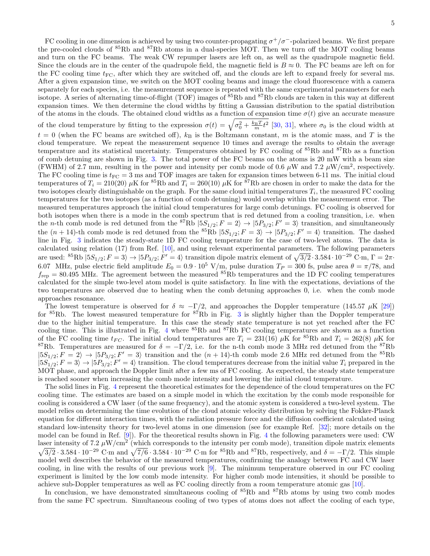FC cooling in one dimension is achieved by using two counter-propagating  $\sigma^+/\sigma^-$ -polarized beams. We first prepare the pre-cooled clouds of <sup>85</sup>Rb and <sup>87</sup>Rb atoms in a dual-species MOT. Then we turn off the MOT cooling beams and turn on the FC beams. The weak CW repumper lasers are left on, as well as the quadrupole magnetic field. Since the clouds are in the center of the quadrupole field, the magnetic field is  $B \approx 0$ . The FC beams are left on for the FC cooling time  $t_{\text{FC}}$ , after which they are switched off, and the clouds are left to expand freely for several ms. After a given expansion time, we switch on the MOT cooling beams and image the cloud fluorescence with a camera separately for each species, i.e. the measurement sequence is repeated with the same experimental parameters for each isotope. A series of alternating time-of-flight (TOF) images of <sup>85</sup>Rb and <sup>87</sup>Rb clouds are taken in this way at different expansion times. We then determine the cloud widths by fitting a Gaussian distribution to the spatial distribution of the atoms in the clouds. The obtained cloud widths as a function of expansion time  $\sigma(t)$  give an accurate measure of the cloud temperature by fitting to the expression  $\sigma(t) = \sqrt{\sigma_0^2 + \frac{k_B T}{m} t^2}$  [\[30,](#page-9-25) [31\]](#page-10-0), where  $\sigma_0$  is the cloud width at  $t = 0$  (when the FC beams are switched off),  $k_B$  is the Boltzmann constant, m is the atomic mass, and T is the cloud temperature. We repeat the measurement sequence 10 times and average the results to obtain the average temperature and its statistical uncertainty. Temperatures obtained by FC cooling of <sup>85</sup>Rb and <sup>87</sup>Rb as a function of comb detuning are shown in Fig. [3.](#page-3-0) The total power of the FC beams on the atoms is 20 mW with a beam size (FWHM) of 2.7 mm, resulting in the power and intensity per comb mode of 0.6  $\mu$ W and 7.2  $\mu$ W/cm<sup>2</sup>, respectively. The FC cooling time is  $t_{\text{FC}} = 3$  ms and TOF images are taken for expansion times between 6-11 ms. The initial cloud temperatures of  $T_i = 210(20) \mu K$  for <sup>85</sup>Rb and  $T_i = 260(10) \mu K$  for <sup>87</sup>Rb are chosen in order to make the data for the two isotopes clearly distinguishable on the graph. For the same cloud initial temperatures  $T_i$ , the measured FC cooling temperatures for the two isotopes (as a function of comb detuning) would overlap within the measurement error. The measured temperatures approach the initial cloud temperatures for large comb detunings. FC cooling is observed for both isotopes when there is a mode in the comb spectrum that is red detuned from a cooling transition, i.e. when the *n*-th comb mode is red detuned from the <sup>87</sup>Rb  $|5S_{1/2}$ ;  $F = 2\rangle \rightarrow |5P_{3/2}$ ;  $F' = 3\rangle$  transition, and simultaneously the  $(n+14)$ -th comb mode is red detuned from the <sup>85</sup>Rb  $|5S_{1/2}; F = 3\rangle \rightarrow |5P_{3/2}; F' = 4\rangle$  transition. The dashed line in Fig. [3](#page-3-0) indicates the steady-state 1D FC cooling temperature for the case of two-level atoms. The data is calculated using relation (17) from Ref. [\[10\]](#page-9-9), and using relevant experimental parameters. The following parameters are used: <sup>85</sup>Rb  $|5S_{1/2}$ ;  $F = 3\rangle \rightarrow |5P_{3/2}$ ;  $F' = 4\rangle$  transition dipole matrix element of  $\sqrt{3/2} \cdot 3.584 \cdot 10^{-29}$  C·m,  $\Gamma = 2\pi$ · 6.07 MHz, pulse electric field amplitude  $E_0 = 0.9 \cdot 10^5$  V/m, pulse duration  $T_P = 300$  fs, pulse area  $\theta = \pi/78$ , and  $f_{\text{rep}} = 80.495 \text{ MHz}$ . The agreement between the measured  ${}^{85}\text{Rb}$  temperatures and the 1D FC cooling temperatures calculated for the simple two-level atom model is quite satisfactory. In line with the expectations, deviations of the two temperatures are observed due to heating when the comb detuning approaches 0, i.e. when the comb mode approaches resonance.

The lowest temperature is observed for  $\delta \approx -\Gamma/2$ , and approaches the Doppler temperature (145.57  $\mu$ K [\[29\]](#page-9-24)) for <sup>85</sup>Rb. The lowest measured temperature for <sup>87</sup>Rb in Fig. [3](#page-3-0) is slightly higher than the Doppler temperature due to the higher initial temperature. In this case the steady state temperature is not yet reached after the FC cooling time. This is illustrated in Fig. [4](#page-5-0) where <sup>85</sup>Rb and <sup>87</sup>Rb FC cooling temperatures are shown as a function of the FC cooling time  $t_{FG}$ . The initial cloud temperatures are  $T_i = 231(16) \mu K$  for  ${}^{85}$ Rb and  $T_i = 262(8) \mu K$  for <sup>87</sup>Rb. Temperatures are measured for  $\delta = -\Gamma/2$ , i.e. for the n-th comb mode 3 MHz red detuned from the <sup>87</sup>Rb  $|5S_{1/2}; F = 2\rangle \rightarrow |5P_{3/2}; F' = 3\rangle$  transition and the  $(n + 14)$ -th comb mode 2.6 MHz red detuned from the <sup>85</sup>Rb  $|5S_{1/2}; F=3\rangle \rightarrow |5P_{3/2}; F'=4\rangle$  transition. The cloud temperatures decrease from the initial value  $T_i$  prepared in the MOT phase, and approach the Doppler limit after a few ms of FC cooling. As expected, the steady state temperature is reached sooner when increasing the comb mode intensity and lowering the initial cloud temperature.

The solid lines in Fig. [4](#page-5-0) represent the theoretical estimates for the dependence of the cloud temperatures on the FC cooling time. The estimates are based on a simple model in which the excitation by the comb mode responsible for cooling is considered a CW laser (of the same frequency), and the atomic system is considered a two-level system. The model relies on determining the time evolution of the cloud atomic velocity distribution by solving the Fokker-Planck equation for different interaction times, with the radiation pressure force and the diffusion coefficient calculated using standard low-intensity theory for two-level atoms in one dimension (see for example Ref. [\[32\]](#page-10-1); more details on the model can be found in Ref. [\[9\]](#page-9-8)). For the theoretical results shown in Fig. [4](#page-5-0) the following parameters were used: CW laser intensity of 7.2  $\mu$ W/cm<sup>2</sup>  $\sqrt{ }$ (which corresponds to the intensity per comb mode), transition dipole matrix elements  $\overline{3/2} \cdot 3.584 \cdot 10^{-29}$  C·m and  $\sqrt{7/6} \cdot 3.584 \cdot 10^{-29}$  C·m for  ${}^{85}$ Rb and  ${}^{87}$ Rb, respectively, and  $\delta = -\Gamma/2$ . This simple model well describes the behavior of the measured temperatures, confirming the analogy between FC and CW laser cooling, in line with the results of our previous work [\[9\]](#page-9-8). The minimum temperature observed in our FC cooling experiment is limited by the low comb mode intensity. For higher comb mode intensities, it should be possible to achieve sub-Doppler temperatures as well as FC cooling directly from a room temperature atomic gas [\[10\]](#page-9-9).

In conclusion, we have demonstrated simultaneous cooling of  ${}^{85}$ Rb and  ${}^{87}$ Rb atoms by using two comb modes from the same FC spectrum. Simultaneous cooling of two types of atoms does not affect the cooling of each type,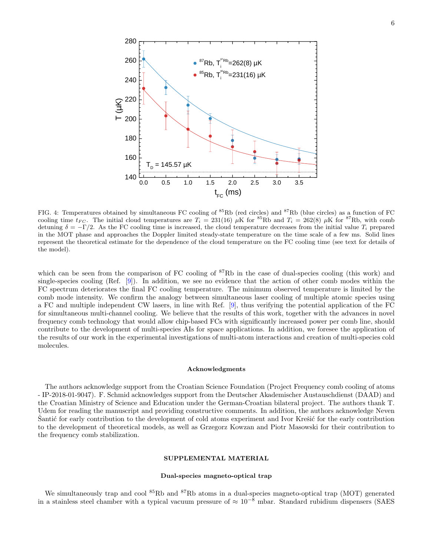

<span id="page-5-0"></span>FIG. 4: Temperatures obtained by simultaneous FC cooling of  ${}^{85}Rb$  (red circles) and  ${}^{87}Rb$  (blue circles) as a function of FC cooling time  $t_{FC}$ . The initial cloud temperatures are  $T_i = 231(16) \mu K$  for  ${}^{85}Rb$  and  $T_i = 262(8) \mu K$  for  ${}^{87}Rb$ , with comb detuning  $\delta = -\Gamma/2$ . As the FC cooling time is increased, the cloud temperature decreases from the initial value  $T_i$  prepared in the MOT phase and approaches the Doppler limited steady-state temperature on the time scale of a few ms. Solid lines represent the theoretical estimate for the dependence of the cloud temperature on the FC cooling time (see text for details of the model).

which can be seen from the comparison of FC cooling of <sup>87</sup>Rb in the case of dual-species cooling (this work) and single-species cooling (Ref. [\[9\]](#page-9-8)). In addition, we see no evidence that the action of other comb modes within the FC spectrum deteriorates the final FC cooling temperature. The minimum observed temperature is limited by the comb mode intensity. We confirm the analogy between simultaneous laser cooling of multiple atomic species using a FC and multiple independent CW lasers, in line with Ref. [\[9\]](#page-9-8), thus verifying the potential application of the FC for simultaneous multi-channel cooling. We believe that the results of this work, together with the advances in novel frequency comb technology that would allow chip-based FCs with significantly increased power per comb line, should contribute to the development of multi-species AIs for space applications. In addition, we foresee the application of the results of our work in the experimental investigations of multi-atom interactions and creation of multi-species cold molecules.

## Acknowledgments

The authors acknowledge support from the Croatian Science Foundation (Project Frequency comb cooling of atoms - IP-2018-01-9047). F. Schmid acknowledges support from the Deutscher Akademischer Austauschdienst (DAAD) and the Croatian Ministry of Science and Education under the German-Croatian bilateral project. The authors thank T. Udem for reading the manuscript and providing constructive comments. In addition, the authors acknowledge Neven Santic for early contribution to the development of cold atoms experiment and Ivor Krešić for the early contribution to the development of theoretical models, as well as Grzegorz Kowzan and Piotr Masowski for their contribution to the frequency comb stabilization.

# SUPPLEMENTAL MATERIAL

# Dual-species magneto-optical trap

We simultaneously trap and cool  ${}^{85}$ Rb and  ${}^{87}$ Rb atoms in a dual-species magneto-optical trap (MOT) generated in a stainless steel chamber with a typical vacuum pressure of  $\approx 10^{-8}$  mbar. Standard rubidium dispensers (SAES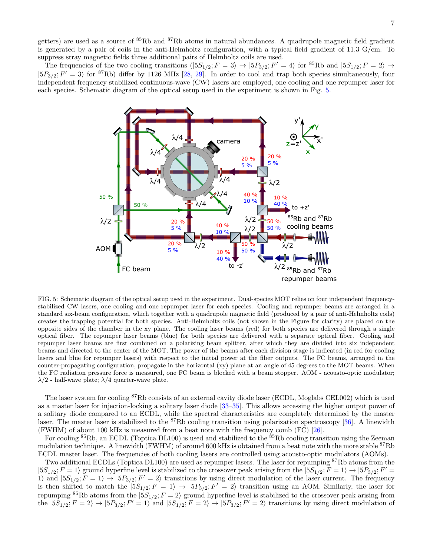getters) are used as a source of <sup>85</sup>Rb and <sup>87</sup>Rb atoms in natural abundances. A quadrupole magnetic field gradient is generated by a pair of coils in the anti-Helmholtz configuration, with a typical field gradient of 11.3  $G/cm$ . To suppress stray magnetic fields three additional pairs of Helmholtz coils are used.

The frequencies of the two cooling transitions  $(|5S_{1/2}; F = 3\rangle \rightarrow |5P_{3/2}; F' = 4\rangle$  for  ${}^{85}Rb$  and  $|5S_{1/2}; F = 2\rangle \rightarrow$  $|5P_{3/2}; F' = 3\rangle$  for <sup>87</sup>Rb) differ by 1126 MHz [\[28,](#page-9-23) [29\]](#page-9-24). In order to cool and trap both species simultaneously, four independent frequency stabilized continuous-wave (CW) lasers are employed, one cooling and one repumper laser for each species. Schematic diagram of the optical setup used in the experiment is shown in Fig. [5.](#page-6-0)



<span id="page-6-0"></span>FIG. 5: Schematic diagram of the optical setup used in the experiment. Dual-species MOT relies on four independent frequencystabilized CW lasers, one cooling and one repumper laser for each species. Cooling and repumper beams are arranged in a standard six-beam configuration, which together with a quadrupole magnetic field (produced by a pair of anti-Helmholtz coils) creates the trapping potential for both species. Anti-Helmholtz coils (not shown in the Figure for clarity) are placed on the opposite sides of the chamber in the xy plane. The cooling laser beams (red) for both species are delivered through a single optical fiber. The repumper laser beams (blue) for both species are delivered with a separate optical fiber. Cooling and repumper laser beams are first combined on a polarizing beam splitter, after which they are divided into six independent beams and directed to the center of the MOT. The power of the beams after each division stage is indicated (in red for cooling lasers and blue for repumper lasers) with respect to the initial power at the fiber outputs. The FC beams, arranged in the counter-propagating configuration, propagate in the horizontal (xy) plane at an angle of 45 degrees to the MOT beams. When the FC radiation pressure force is measured, one FC beam is blocked with a beam stopper. AOM - acousto-optic modulator;  $\lambda/2$  - half-wave plate;  $\lambda/4$  quarter-wave plate.

The laser system for cooling <sup>87</sup>Rb consists of an external cavity diode laser (ECDL, Moglabs CEL002) which is used as a master laser for injection-locking a solitary laser diode [\[33–](#page-10-2)[35\]](#page-10-3). This allows accessing the higher output power of a solitary diode compared to an ECDL, while the spectral characteristics are completely determined by the master laser. The master laser is stabilized to the  ${}^{87}$ Rb cooling transition using polarization spectroscopy [\[36\]](#page-10-4). A linewidth (FWHM) of about 100 kHz is measured from a beat note with the frequency comb (FC) [\[26\]](#page-9-21).

For cooling <sup>85</sup>Rb, an ECDL (Toptica DL100) is used and stabilized to the <sup>85</sup>Rb cooling transition using the Zeeman modulation technique. A linewidth (FWHM) of around  $600 \text{ kHz}$  is obtained from a beat note with the more stable  ${}^{87}\text{Rb}$ ECDL master laser. The frequencies of both cooling lasers are controlled using acousto-optic modulators (AOMs).

Two additional ECDLs (Toptica DL100) are used as repumper lasers. The laser for repumping <sup>87</sup>Rb atoms from the  $|5S_{1/2}; F = 1\rangle$  ground hyperfine level is stabilized to the crossover peak arising from the  $|5S_{1/2}; F = 1\rangle \rightarrow |5P_{3/2}; F' = 1\rangle$ 1) and  $|5S_{1/2}; F = 1\rangle \rightarrow |5P_{3/2}; F' = 2\rangle$  transitions by using direct modulation of the laser current. The frequency is then shifted to match the  $|5S_{1/2}; F = 1\rangle \rightarrow |5P_{3/2}; F' = 2\rangle$  transition using an AOM. Similarly, the laser for repumping <sup>85</sup>Rb atoms from the  $|5S_{1/2}; F = 2\rangle$  ground hyperfine level is stabilized to the crossover peak arising from the  $|5S_{1/2}; F = 2\rangle \rightarrow |5P_{3/2}; F' = 1\rangle$  and  $|5S_{1/2}; F = 2\rangle \rightarrow |5P_{3/2}; F' = 2\rangle$  transitions by using direct modulation of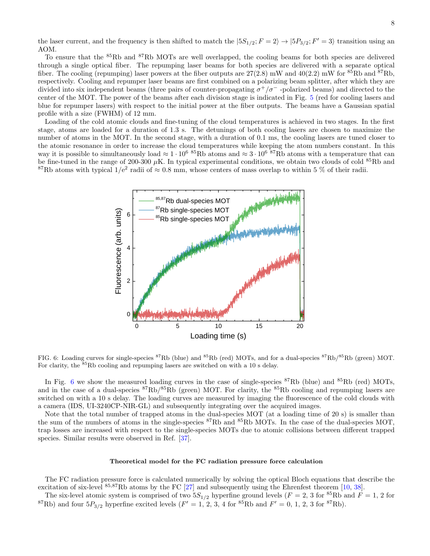the laser current, and the frequency is then shifted to match the  $|5S_{1/2}; F = 2\rangle \rightarrow |5P_{3/2}; F' = 3\rangle$  transition using an AOM.

To ensure that the <sup>85</sup>Rb and <sup>87</sup>Rb MOTs are well overlapped, the cooling beams for both species are delivered through a single optical fiber. The repumping laser beams for both species are delivered with a separate optical fiber. The cooling (repumping) laser powers at the fiber outputs are  $27(2.8)$  mW and  $40(2.2)$  mW for  $85Rb$  and  $87Rb$ , respectively. Cooling and repumper laser beams are first combined on a polarizing beam splitter, after which they are divided into six independent beams (three pairs of counter-propagating  $\sigma^+/\sigma^-$  -polarized beams) and directed to the center of the MOT. The power of the beams after each division stage is indicated in Fig. [5](#page-6-0) (red for cooling lasers and blue for repumper lasers) with respect to the initial power at the fiber outputs. The beams have a Gaussian spatial profile with a size (FWHM) of 12 mm.

Loading of the cold atomic clouds and fine-tuning of the cloud temperatures is achieved in two stages. In the first stage, atoms are loaded for a duration of 1.3 s. The detunings of both cooling lasers are chosen to maximize the number of atoms in the MOT. In the second stage, with a duration of 0.1 ms, the cooling lasers are tuned closer to the atomic resonance in order to increase the cloud temperatures while keeping the atom numbers constant. In this way it is possible to simultaneously load  $\approx 1 \cdot 10^6$  <sup>85</sup>Rb atoms and  $\approx 3 \cdot 10^6$  <sup>87</sup>Rb atoms with a temperature that can be fine-tuned in the range of 200-300  $\mu$ K. In typical experimental conditions, we obtain two clouds of cold  $^{85}$ Rb and <sup>87</sup>Rb atoms with typical  $1/e^2$  radii of  $\approx 0.8$  mm, whose centers of mass overlap to within 5 % of their radii.



<span id="page-7-0"></span>FIG. 6: Loading curves for single-species <sup>87</sup>Rb (blue) and <sup>85</sup>Rb (red) MOTs, and for a dual-species <sup>87</sup>Rb/<sup>85</sup>Rb (green) MOT. For clarity, the <sup>85</sup>Rb cooling and repumping lasers are switched on with a 10 s delay.

In Fig. [6](#page-7-0) we show the measured loading curves in the case of single-species  ${}^{87}Rb$  (blue) and  ${}^{85}Rb$  (red) MOTs, and in the case of a dual-species  ${}^{87}Rb/{}^{85}Rb$  (green) MOT. For clarity, the  ${}^{85}Rb$  cooling and repumping lasers are switched on with a 10 s delay. The loading curves are measured by imaging the fluorescence of the cold clouds with a camera (IDS, UI-3240CP-NIR-GL) and subsequently integrating over the acquired images.

Note that the total number of trapped atoms in the dual-species MOT (at a loading time of 20 s) is smaller than the sum of the numbers of atoms in the single-species <sup>87</sup>Rb and <sup>85</sup>Rb MOTs. In the case of the dual-species MOT, trap losses are increased with respect to the single-species MOTs due to atomic collisions between different trapped species. Similar results were observed in Ref. [\[37\]](#page-10-5).

### Theoretical model for the FC radiation pressure force calculation

The FC radiation pressure force is calculated numerically by solving the optical Bloch equations that describe the excitation of six-level  $85,87Rb$  atoms by the FC [\[27\]](#page-9-22) and subsequently using the Ehrenfest theorem [\[10,](#page-9-9) [38\]](#page-10-6).

The six-level atomic system is comprised of two  $5S_{1/2}$  hyperfine ground levels ( $F = 2$ , 3 for <sup>85</sup>Rb and  $F = 1$ , 2 for <sup>87</sup>Rb) and four  $5P_{3/2}$  hyperfine excited levels ( $F' = 1, 2, 3, 4$  for  $85Rb$  and  $F' = 0, 1, 2, 3$  for  $87Rb$ ).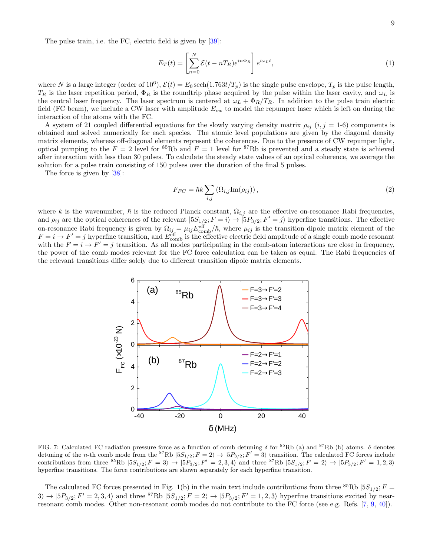The pulse train, i.e. the FC, electric field is given by [\[39\]](#page-10-7):

$$
E_T(t) = \left[\sum_{n=0}^{N} \mathcal{E}(t - nT_R)e^{in\Phi_R}\right]e^{i\omega_L t},\tag{1}
$$

where N is a large integer (order of 10<sup>6</sup>),  $\mathcal{E}(t) = E_0 \sech(1.763t/T_p)$  is the single pulse envelope,  $T_p$  is the pulse length,  $T_R$  is the laser repetition period,  $\Phi_R$  is the roundtrip phase acquired by the pulse within the laser cavity, and  $\omega_L$  is the central laser frequency. The laser spectrum is centered at  $\omega_L + \Phi_R/T_R$ . In addition to the pulse train electric field (FC beam), we include a CW laser with amplitude  $E_{cw}$  to model the repumper laser which is left on during the interaction of the atoms with the FC.

A system of 21 coupled differential equations for the slowly varying density matrix  $\rho_{ij}$  (i, j = 1-6) components is obtained and solved numerically for each species. The atomic level populations are given by the diagonal density matrix elements, whereas off-diagonal elements represent the coherences. Due to the presence of CW repumper light, optical pumping to the  $F = 2$  level for <sup>85</sup>Rb and  $F = 1$  level for <sup>87</sup>Rb is prevented and a steady state is achieved after interaction with less than 30 pulses. To calculate the steady state values of an optical coherence, we average the solution for a pulse train consisting of 150 pulses over the duration of the final 5 pulses.

The force is given by [\[38\]](#page-10-6):

$$
F_{FC} = \hbar k \sum_{i,j} \left( \Omega_{i,j} \text{Im}(\rho_{ij}) \right),\tag{2}
$$

where k is the wavenumber,  $\hbar$  is the reduced Planck constant,  $\Omega_{i,j}$  are the effective on-resonance Rabi frequencies, and  $\rho_{ij}$  are the optical coherences of the relevant  $|5S_{1/2}; F = i\rangle \rightarrow |5P_{3/2}; F' = j\rangle$  hyperfine transitions. The effective on-resonance Rabi frequency is given by  $\Omega_{ij} = \mu_{ij} E_{\text{comb}}^{\text{eff}}/\hbar$ , where  $\mu_{ij}$  is the transition dipole matrix element of the  $F = i \rightarrow F' = j$  hyperfine transition, and  $E_{\text{comb}}^{\text{eff}}$  is the effective electric field amplitude of a single comb mode resonant with the  $F = i \rightarrow F' = j$  transition. As all modes participating in the comb-atom interactions are close in frequency, the power of the comb modes relevant for the FC force calculation can be taken as equal. The Rabi frequencies of the relevant transitions differ solely due to different transition dipole matrix elements.



<span id="page-8-0"></span>FIG. 7: Calculated FC radiation pressure force as a function of comb detuning  $\delta$  for <sup>85</sup>Rb (a) and <sup>87</sup>Rb (b) atoms.  $\delta$  denotes detuning of the *n*-th comb mode from the <sup>87</sup>Rb  $|5S_{1/2}$ ;  $F = 2\rangle \rightarrow |5P_{3/2}$ ;  $F' = 3\rangle$  transition. The calculated FC forces include contributions from three <sup>85</sup>Rb  $|5S_{1/2}$ ;  $F = 3\rangle \rightarrow |5P_{3/2}$ ;  $F' = 2, 3, 4\rangle$  and three <sup>87</sup>Rb  $|5S_{1/2}$ ;  $F = 2\rangle \rightarrow |5P_{3/2}$ ;  $F' = 1, 2, 3\rangle$ hyperfine transitions. The force contributions are shown separately for each hyperfine transition.

The calculated FC forces presented in Fig. 1(b) in the main text include contributions from three  ${}^{85}Rb |5S_{1/2}; F =$  $3\rangle \rightarrow |5P_{3/2}; F' = 2, 3, 4\rangle$  and three <sup>87</sup>Rb  $|5S_{1/2}; F = 2\rangle \rightarrow |5P_{3/2}; F' = 1, 2, 3\rangle$  hyperfine transitions excited by nearresonant comb modes. Other non-resonant comb modes do not contribute to the FC force (see e.g. Refs. [\[7,](#page-9-5) [9,](#page-9-8) [40\]](#page-10-8)).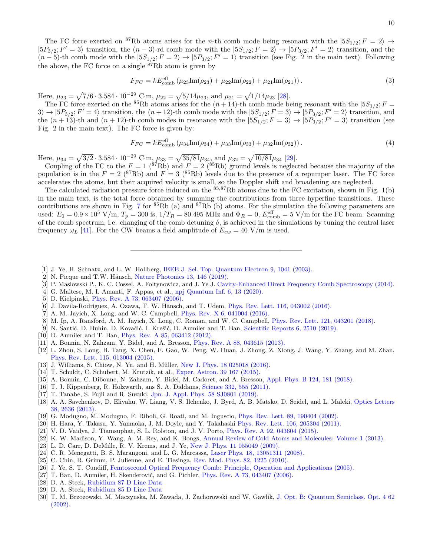The FC force exerted on <sup>87</sup>Rb atoms arises for the *n*-th comb mode being resonant with the  $|5S_{1/2}; F = 2\rangle \rightarrow$  $|5P_{3/2}; F' = 3\rangle$  transition, the  $(n-3)$ -rd comb mode with the  $|5S_{1/2}; F = 2\rangle \rightarrow |5P_{3/2}; F' = 2\rangle$  transition, and the  $(n-5)$ -th comb mode with the  $|5S_{1/2}$ ;  $F = 2\rangle \rightarrow |5P_{3/2}$ ;  $F' = 1\rangle$  transition (see Fig. 2 in the main text). Following the above, the FC force on a single  $\frac{87}{R}$ b atom is given by

$$
F_{FC} = kE_{\rm comb}^{\rm eff} \left(\mu_{23} \text{Im}(\rho_{23}) + \mu_{22} \text{Im}(\rho_{22}) + \mu_{21} \text{Im}(\rho_{21})\right). \tag{3}
$$

Here,  $\mu_{23} = \sqrt{7/6} \cdot 3.584 \cdot 10^{-29}$  C·m,  $\mu_{22} = \sqrt{5/14} \mu_{23}$ , and  $\mu_{21} = \sqrt{1/14} \mu_{23}$  [\[28\]](#page-9-23).

The FC force exerted on the <sup>85</sup>Rb atoms arises for the  $(n+14)$ -th comb mode being resonant with the  $|5S_{1/2}; F =$  $3\rangle \rightarrow |5P_{3/2}; F' = 4\rangle$  transition, the  $(n + 12)$ -th comb mode with the  $|5S_{1/2}; F = 3\rangle \rightarrow |5P_{3/2}; F' = 2\rangle$  transition, and the  $(n+13)$ -th and  $(n+12)$ -th comb modes in resonance with the  $|5S_{1/2}; F = 3\rangle \rightarrow |5P_{3/2}; F' = 3\rangle$  transition (see Fig. 2 in the main text). The FC force is given by:

$$
F_{FC} = kE_{\rm comb}^{\rm eff} \left(\mu_{34} \text{Im}(\rho_{34}) + \mu_{33} \text{Im}(\rho_{33}) + \mu_{32} \text{Im}(\rho_{32})\right). \tag{4}
$$

Here,  $\mu_{34} = \sqrt{3/2} \cdot 3.584 \cdot 10^{-29}$  C·m,  $\mu_{33} = \sqrt{35/81} \mu_{34}$ , and  $\mu_{32} = \sqrt{10/81} \mu_{34}$  [\[29\]](#page-9-24).

Coupling of the FC to the  $F = 1$  (<sup>87</sup>Rb) and  $F = 2$  (<sup>85</sup>Rb) ground levels is neglected because the majority of the population is in the  $F = 2 \left( \frac{87}{Rb} \right)$  and  $F = 3 \left( \frac{85}{Rb} \right)$  levels due to the presence of a repumper laser. The FC force accelerates the atoms, but their acquired velocity is small, so the Doppler shift and broadening are neglected.

The calculated radiation pressure force induced on the  $85,87Rb$  atoms due to the FC excitation, shown in Fig. 1(b) in the main text, is the total force obtained by summing the contributions from three hyperfine transitions. These contributions are shown in Fig. [7](#page-8-0) for  ${}^{85}Rb$  (a) and  ${}^{87}Rb$  (b) atoms. For the simulation the following parameters are used:  $E_0 = 0.9 \times 10^5$  V/m,  $T_p = 300$  fs,  $1/T_R = 80.495$  MHz and  $\Phi_R = 0$ ,  $E_{\text{comb}}^{\text{eff}} = 5$  V/m for the FC beam. Scanning of the comb spectrum, i.e. changing of the comb detuning  $\delta$ , is achieved in the simulations by tuning the central laser frequency  $\omega_L$  [\[41\]](#page-10-9). For the CW beams a field amplitude of  $E_{cw} = 40 \text{ V/m}$  is used.

- <span id="page-9-0"></span>[1] J. Ye, H. Schnatz, and L. W. Hollberg, [IEEE J. Sel. Top. Quantum Electron 9, 1041 \(2003\).](doi: 10.1109/JSTQE.2003.819109)
- <span id="page-9-1"></span>[2] N. Picque and T.W. Hänsch, [Nature Photonics 13, 146 \(2019\).](https://doi.org/10.1038/s41566-018-0347-5)
- <span id="page-9-2"></span>[3] P. Maslowski P., K. C. Cossel, A. Foltynowicz, and J. Ye J. [Cavity-Enhanced Direct Frequency Comb Spectroscopy \(2014\).](https://link.springer.com/book/10.1007/978-3-642-40003-2)
- <span id="page-9-3"></span>[4] G. Maltese, M. I. Amanti, F. Appas, et al., [npj Quantum Inf. 6, 13 \(2020\).](https://doi.org/10.1038/s41534-019-0237-9)
- <span id="page-9-4"></span>[5] D. Kielpinski, [Phys. Rev. A 73, 063407 \(2006\).](https://doi.org/10.1103/PhysRevA.73.063407)
- <span id="page-9-6"></span>[6] J. Davila-Rodriguez, A. Ozawa, T. W. Hänsch, and T. Udem, [Phys. Rev. Lett. 116, 043002 \(2016\).](https://doi.org/10.1103/PhysRevLett.116.043002)
- <span id="page-9-5"></span>[7] A. M. Jayich, X. Long, and W. C. Campbell, [Phys. Rev. X 6, 041004 \(2016\).](https://doi.org/10.1103/PhysRevX.6.041004)
- <span id="page-9-7"></span>[8] M. Ip, A. Ransford, A. M. Jayich, X. Long, C. Roman, and W. C. Campbell, [Phys. Rev. Lett. 121, 043201 \(2018\).](https://journals.aps.org/prl/abstract/10.1103/PhysRevLett.121.043201)
- <span id="page-9-8"></span>[9] N. Šantić, D. Buhin, D. Kovačić, I. Krešić, D. Aumiler and T. Ban, [Scientific Reports 6, 2510 \(2019\).](https://doi.org/10.1038/s41598-018-38319-3)
- <span id="page-9-9"></span>[10] D. Aumiler and T. Ban, [Phys. Rev. A 85, 063412 \(2012\).](https://doi.org/10.1103/PhysRevA.85.063412)
- <span id="page-9-10"></span>[11] A. Bonnin, N. Zahzam, Y. Bidel, and A. Bresson, [Phys. Rev. A 88, 043615 \(2013\).](https://journals.aps.org/pra/abstract/10.1103/PhysRevA.88.043615)
- [12] L. Zhou, S. Long, B. Tang, X. Chen, F. Gao, W. Peng, W. Duan, J. Zhong, Z. Xiong, J. Wang, Y. Zhang, and M. Zhan, [Phys. Rev. Lett. 115, 013004 \(2015\).](https://doi.org/10.1103/PhysRevLett.115.013004)
- <span id="page-9-11"></span>[13] J. Williams, S. Chiow, N. Yu, and H. M¨uller, [New J. Phys. 18 025018 \(2016\).](https://doi.org/10.1088/1367-2630/18/2/025018)
- <span id="page-9-12"></span>[14] T. Schuldt, C. Schubert, M. Krutzik, et al., [Exper. Astron. 39 167 \(2015\).](https://doi.org/10.1007/s10686-014-9433-y)
- <span id="page-9-13"></span>[15] A. Bonnin, C. Diboune, N. Zahzam, Y. Bidel, M. Cadoret, and A. Bresson, [Appl. Phys. B 124, 181 \(2018\).](https://doi.org/10.1007/s00340-018-7051-5)
- <span id="page-9-14"></span>[16] T. J. Kippenberg, R. Holzwarth, ans S. A. Diddams, [Science 332, 555 \(2011\).](https://doi.org/10.1126/science.1193968)
- [17] T. Tanabe, S. Fujii and R. Suzuki, [Jpn. J. Appl. Phys. 58 SJ0801 \(2019\).](https://doi.org/10.7567/1347-4065/ab2aca)
- <span id="page-9-15"></span>[18] A. A. Savchenkov, D. Eliyahu, W. Liang, V. S. Ilchenko, J. Byrd, A. B. Matsko, D. Seidel, and L. Maleki, [Optics Letters](https://doi.org/10.1364/OL.38.002636) [38, 2636 \(2013\).](https://doi.org/10.1364/OL.38.002636)
- <span id="page-9-16"></span>[19] G. Modugno, M. Modugno, F. Riboli, G. Roati, and M. Inguscio, [Phys. Rev. Lett. 89, 190404 \(2002\).](https://doi.org/10.1103/PhysRevLett.89.190404)
- [20] H. Hara, Y. Takasu, Y. Yamaoka, J. M. Doyle, and Y. Takahashi [Phys. Rev. Lett. 106, 205304 \(2011\).](https://doi.org/10.1103/PhysRevLett.106.205304)
- [21] V. D. Vaidya, J. Tiamsuphat, S. L. Rolston, and J. V. Porto, [Phys. Rev. A 92, 043604 \(2015\).](https://doi.org/10.1103/PhysRevA.92.043604)
- <span id="page-9-17"></span>[22] K. W. Madison, Y. Wang, A. M. Rey, and K. Bongs, [Annual Review of Cold Atoms and Molecules: Volume 1 \(2013\).](https://doi.org/10.1142/8632)
- <span id="page-9-18"></span>[23] L. D. Carr, D. DeMille, R. V. Krems, and J. Ye, [New J. Phys. 11 055049 \(2009\).](https://doi.org/10.1088/1367-2630/11/5/055049)
- <span id="page-9-19"></span>[24] C. R. Menegatti, B. S. Marangoni, and L. G. Marcassa, [Laser Phys. 18, 13051311 \(2008\).](https://doi.org/10.1134/S1054660X08110169)
- <span id="page-9-20"></span>[25] C. Chin, R. Grimm, P. Julienne, and E. Tiesinga, [Rev. Mod. Phys. 82, 1225 \(2010\).](https://doi.org/10.1103/RevModPhys.82.1225)
- <span id="page-9-21"></span>[26] J. Ye, S. T. Cundiff, [Femtosecond Optical Frequency Comb: Principle, Operation and Applications \(2005\).](http://www.springer.com/us/book/9780387237909)
- <span id="page-9-22"></span>[27] T. Ban, D. Aumiler, H. Skenderović, and G. Pichler, [Phys. Rev. A 73, 043407 \(2006\).](https://doi.org/10.1103/PhysRevA.73.043407)
- <span id="page-9-23"></span>[28] D. A. Steck, [Rubidium 87 D Line Data](http://steck.us/alkalidata/rubidium87numbers.pdf)
- <span id="page-9-24"></span>[29] D. A. Steck, [Rubidium 85 D Line Data](http://steck.us/alkalidata/rubidium85numbers.pdf)
- <span id="page-9-25"></span>[30] T. M. Brzozowski, M. Maczynska, M. Zawada, J. Zachorowski and W. Gawlik, [J. Opt. B: Quantum Semiclass. Opt. 4 62](https://doi.org/10.1088/1464-4266/4/1/310) [\(2002\).](https://doi.org/10.1088/1464-4266/4/1/310)